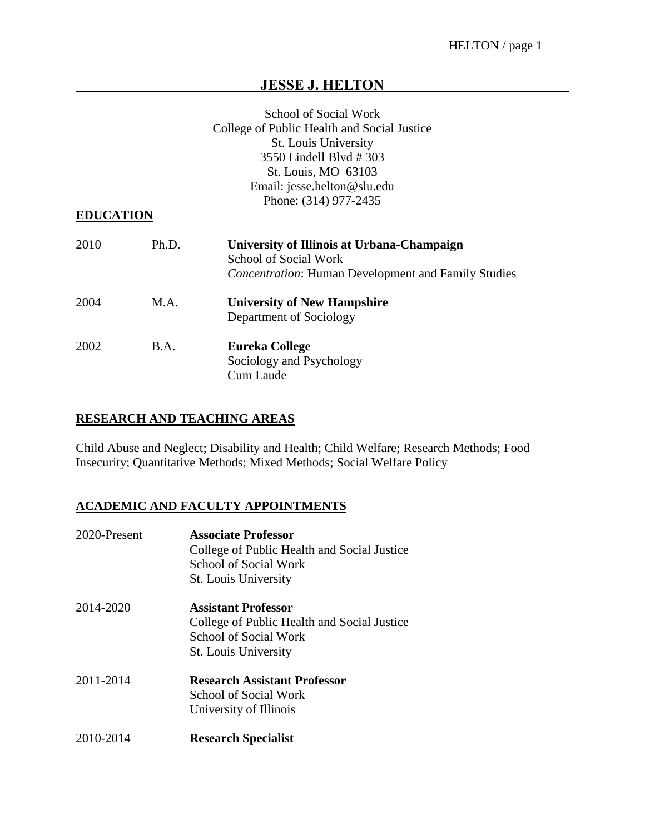# **JESSE J. HELTON**

|                  |       | School of Social Work                                                                                                             |
|------------------|-------|-----------------------------------------------------------------------------------------------------------------------------------|
|                  |       | College of Public Health and Social Justice                                                                                       |
|                  |       | <b>St. Louis University</b>                                                                                                       |
|                  |       | 3550 Lindell Blvd #303                                                                                                            |
|                  |       | St. Louis, MO 63103                                                                                                               |
|                  |       | Email: jesse.helton@slu.edu                                                                                                       |
|                  |       | Phone: (314) 977-2435                                                                                                             |
| <b>EDUCATION</b> |       |                                                                                                                                   |
| 2010             | Ph.D. | University of Illinois at Urbana-Champaign<br>School of Social Work<br><b>Concentration: Human Development and Family Studies</b> |
| 2004             | M.A.  | <b>University of New Hampshire</b><br>Department of Sociology                                                                     |
| 2002             | B.A.  | <b>Eureka College</b><br>Sociology and Psychology<br>Cum Laude                                                                    |

## **RESEARCH AND TEACHING AREAS**

Child Abuse and Neglect; Disability and Health; Child Welfare; Research Methods; Food Insecurity; Quantitative Methods; Mixed Methods; Social Welfare Policy

## **ACADEMIC AND FACULTY APPOINTMENTS**

| 2020-Present | <b>Associate Professor</b><br>College of Public Health and Social Justice<br><b>School of Social Work</b><br><b>St. Louis University</b> |
|--------------|------------------------------------------------------------------------------------------------------------------------------------------|
| 2014-2020    | <b>Assistant Professor</b><br>College of Public Health and Social Justice<br>School of Social Work<br><b>St.</b> Louis University        |
| 2011-2014    | <b>Research Assistant Professor</b><br>School of Social Work<br>University of Illinois                                                   |
| 2010-2014    | <b>Research Specialist</b>                                                                                                               |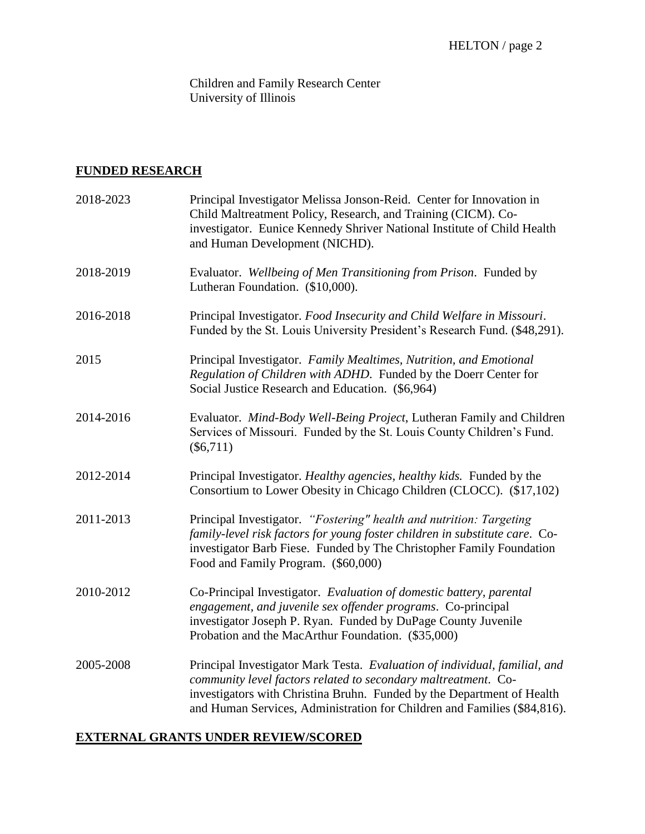Children and Family Research Center University of Illinois

## **FUNDED RESEARCH**

| 2018-2023 | Principal Investigator Melissa Jonson-Reid. Center for Innovation in<br>Child Maltreatment Policy, Research, and Training (CICM). Co-<br>investigator. Eunice Kennedy Shriver National Institute of Child Health<br>and Human Development (NICHD).                                                 |
|-----------|----------------------------------------------------------------------------------------------------------------------------------------------------------------------------------------------------------------------------------------------------------------------------------------------------|
| 2018-2019 | Evaluator. Wellbeing of Men Transitioning from Prison. Funded by<br>Lutheran Foundation. (\$10,000).                                                                                                                                                                                               |
| 2016-2018 | Principal Investigator. Food Insecurity and Child Welfare in Missouri.<br>Funded by the St. Louis University President's Research Fund. (\$48,291).                                                                                                                                                |
| 2015      | Principal Investigator. Family Mealtimes, Nutrition, and Emotional<br>Regulation of Children with ADHD. Funded by the Doerr Center for<br>Social Justice Research and Education. (\$6,964)                                                                                                         |
| 2014-2016 | Evaluator. Mind-Body Well-Being Project, Lutheran Family and Children<br>Services of Missouri. Funded by the St. Louis County Children's Fund.<br>$(\$6,711)$                                                                                                                                      |
| 2012-2014 | Principal Investigator. Healthy agencies, healthy kids. Funded by the<br>Consortium to Lower Obesity in Chicago Children (CLOCC). (\$17,102)                                                                                                                                                       |
| 2011-2013 | Principal Investigator. "Fostering" health and nutrition: Targeting<br>family-level risk factors for young foster children in substitute care. Co-<br>investigator Barb Fiese. Funded by The Christopher Family Foundation<br>Food and Family Program. (\$60,000)                                  |
| 2010-2012 | Co-Principal Investigator. Evaluation of domestic battery, parental<br>engagement, and juvenile sex offender programs. Co-principal<br>investigator Joseph P. Ryan. Funded by DuPage County Juvenile<br>Probation and the MacArthur Foundation. (\$35,000)                                         |
| 2005-2008 | Principal Investigator Mark Testa. Evaluation of individual, familial, and<br>community level factors related to secondary maltreatment. Co-<br>investigators with Christina Bruhn. Funded by the Department of Health<br>and Human Services, Administration for Children and Families (\$84,816). |

## **EXTERNAL GRANTS UNDER REVIEW/SCORED**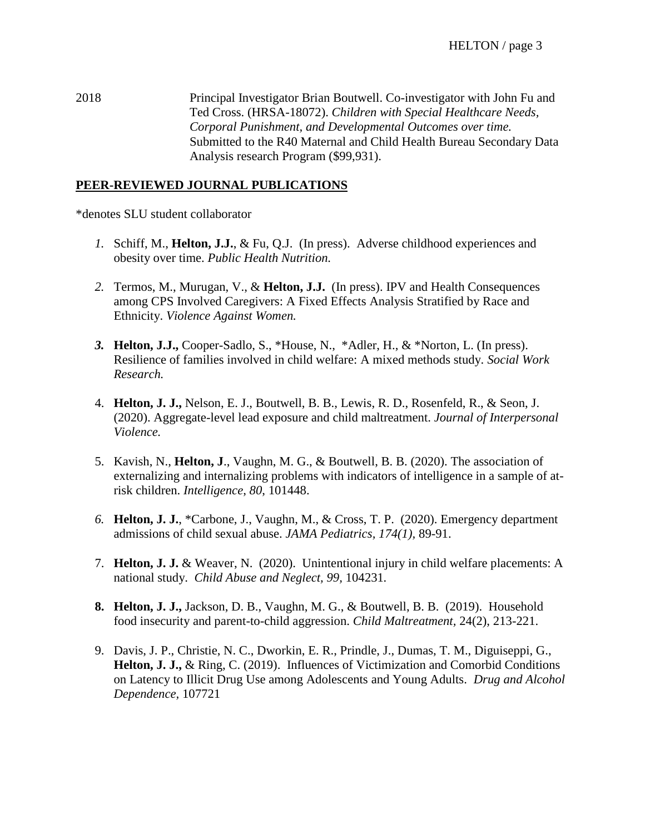2018 Principal Investigator Brian Boutwell. Co-investigator with John Fu and Ted Cross. (HRSA-18072). *Children with Special Healthcare Needs, Corporal Punishment, and Developmental Outcomes over time.* Submitted to the R40 Maternal and Child Health Bureau Secondary Data Analysis research Program (\$99,931).

## **PEER-REVIEWED JOURNAL PUBLICATIONS**

\*denotes SLU student collaborator

- *1.* Schiff, M., **Helton, J.J.**, & Fu, Q.J. (In press). Adverse childhood experiences and obesity over time. *Public Health Nutrition.*
- *2.* Termos, M., Murugan, V., & **Helton, J.J.** (In press). IPV and Health Consequences among CPS Involved Caregivers: A Fixed Effects Analysis Stratified by Race and Ethnicity. *Violence Against Women.*
- *3.* **Helton, J.J.,** Cooper-Sadlo, S., \*House, N., \*Adler, H., & \*Norton, L. (In press). Resilience of families involved in child welfare: A mixed methods study. *Social Work Research.*
- 4. **Helton, J. J.,** Nelson, E. J., Boutwell, B. B., Lewis, R. D., Rosenfeld, R., & Seon, J. (2020). Aggregate-level lead exposure and child maltreatment. *Journal of Interpersonal Violence.*
- 5. Kavish, N., **Helton, J**., Vaughn, M. G., & Boutwell, B. B. (2020). The association of externalizing and internalizing problems with indicators of intelligence in a sample of atrisk children. *Intelligence*, *80*, 101448.
- *6.* **Helton, J. J.**, \*Carbone, J., Vaughn, M., & Cross, T. P. (2020). Emergency department admissions of child sexual abuse. *JAMA Pediatrics, 174(1),* 89-91.
- 7. **Helton, J. J.** & Weaver, N. (2020). Unintentional injury in child welfare placements: A national study. *Child Abuse and Neglect, 99,* 104231*.*
- **8. Helton, J. J.,** Jackson, D. B., Vaughn, M. G., & Boutwell, B. B. (2019). Household food insecurity and parent-to-child aggression. *Child Maltreatment,* 24(2), 213-221.
- 9. Davis, J. P., Christie, N. C., Dworkin, E. R., Prindle, J., Dumas, T. M., Diguiseppi, G., **Helton, J. J.,** & Ring, C. (2019). Influences of Victimization and Comorbid Conditions on Latency to Illicit Drug Use among Adolescents and Young Adults. *Drug and Alcohol Dependence,* 107721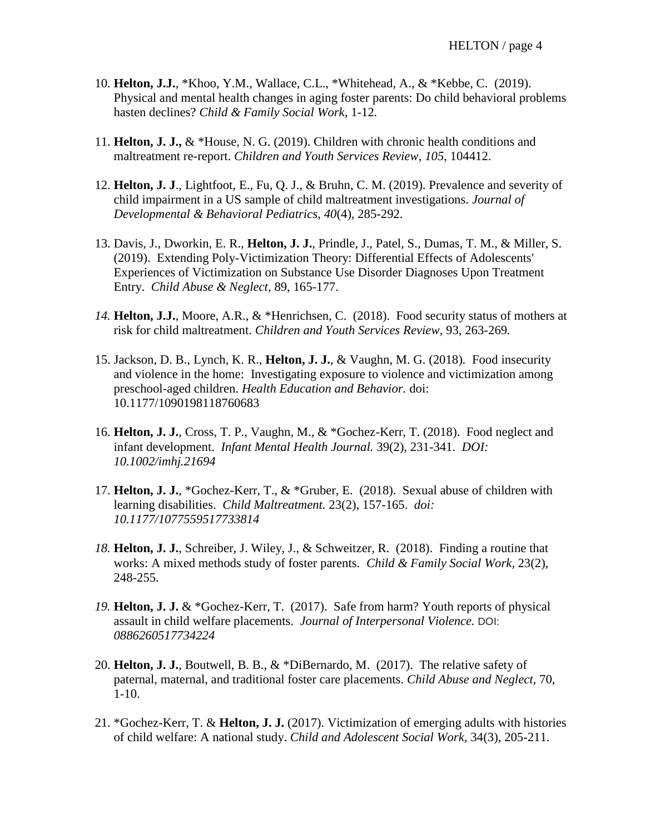- 10. **Helton, J.J.**, \*Khoo, Y.M., Wallace, C.L., \*Whitehead, A., & \*Kebbe, C. (2019). Physical and mental health changes in aging foster parents: Do child behavioral problems hasten declines? *Child & Family Social Work,* 1-12*.*
- 11. **Helton, J. J.,** & \*House, N. G. (2019). Children with chronic health conditions and maltreatment re-report. *Children and Youth Services Review*, *105*, 104412.
- 12. **Helton, J. J**., Lightfoot, E., Fu, Q. J., & Bruhn, C. M. (2019). Prevalence and severity of child impairment in a US sample of child maltreatment investigations. *Journal of Developmental & Behavioral Pediatrics*, *40*(4), 285-292.
- 13. Davis, J., Dworkin, E. R., **Helton, J. J.**, Prindle, J., Patel, S., Dumas, T. M., & Miller, S. (2019). Extending Poly-Victimization Theory: Differential Effects of Adolescents' Experiences of Victimization on Substance Use Disorder Diagnoses Upon Treatment Entry. *Child Abuse & Neglect,* 89, 165-177.
- *14.* **Helton, J.J.**, Moore, A.R., & \*Henrichsen, C. (2018). Food security status of mothers at risk for child maltreatment. *Children and Youth Services Review*, 93, 263-269*.*
- 15. Jackson, D. B., Lynch, K. R., **Helton, J. J.**, & Vaughn, M. G. (2018)*.* Food insecurity and violence in the home: Investigating exposure to violence and victimization among preschool-aged children. *Health Education and Behavior.* [doi:](https://doi.org/10.1177/1090198118760683)  [10.1177/1090198118760683](https://doi.org/10.1177/1090198118760683)
- 16. **Helton, J. J.**, Cross, T. P., Vaughn, M., & \*Gochez-Kerr, T. (2018). Food neglect and infant development. *Infant Mental Health Journal.* 39(2), 231-341. *DOI: 10.1002/imhj.21694*
- 17. **Helton, J. J.**, \*Gochez-Kerr, T., & \*Gruber, E. (2018). Sexual abuse of children with learning disabilities. *Child Maltreatment.* 23(2), 157-165. *doi: 10.1177/1077559517733814*
- *18.* **Helton, J. J.**, Schreiber, J. Wiley, J., & Schweitzer, R. (2018). Finding a routine that works: A mixed methods study of foster parents. *Child & Family Social Work,* 23(2), 248-255.
- *19.* **Helton, J. J.** & \*Gochez-Kerr, T. (2017). Safe from harm? Youth reports of physical assault in child welfare placements. *Journal of Interpersonal Violence.* DOI: *0886260517734224*
- 20. **Helton, J. J.**, Boutwell, B. B., & \*DiBernardo, M. (2017). The relative safety of paternal, maternal, and traditional foster care placements. *Child Abuse and Neglect,* 70, 1-10.
- 21. \*Gochez-Kerr, T. & **Helton, J. J.** (2017). Victimization of emerging adults with histories of child welfare: A national study. *Child and Adolescent Social Work,* 34(3), 205-211.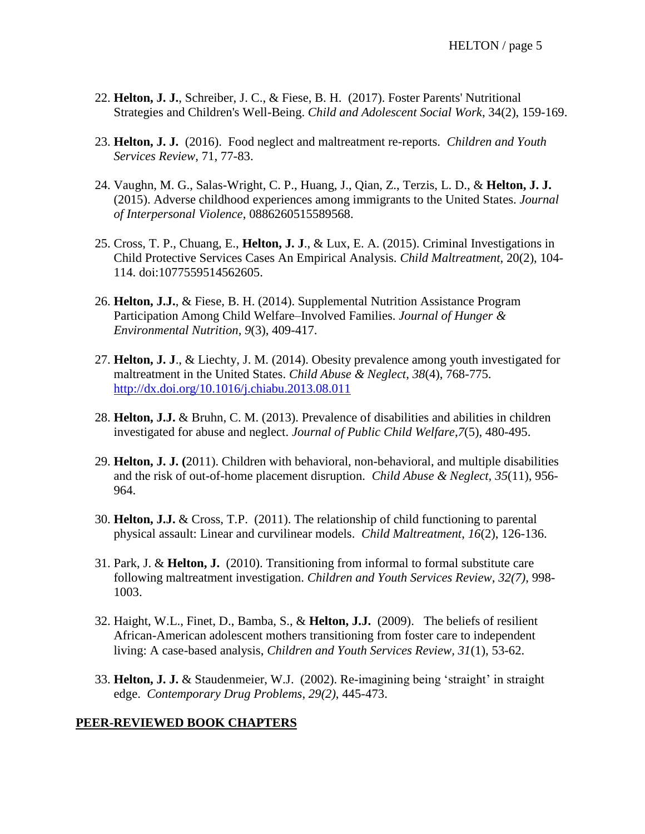- 22. **Helton, J. J.**, Schreiber, J. C., & Fiese, B. H. (2017). Foster Parents' Nutritional Strategies and Children's Well-Being. *Child and Adolescent Social Work*, 34(2), 159-169.
- 23. **Helton, J. J.** (2016). Food neglect and maltreatment re-reports. *Children and Youth Services Review*, 71, 77-83.
- 24. Vaughn, M. G., Salas-Wright, C. P., Huang, J., Qian, Z., Terzis, L. D., & **Helton, J. J.** (2015). Adverse childhood experiences among immigrants to the United States. *Journal of Interpersonal Violence*, 0886260515589568.
- 25. Cross, T. P., Chuang, E., **Helton, J. J**., & Lux, E. A. (2015). Criminal Investigations in Child Protective Services Cases An Empirical Analysis. *Child Maltreatment*, 20(2), 104- 114. doi:1077559514562605.
- 26. **Helton, J.J.**, & Fiese, B. H. (2014). Supplemental Nutrition Assistance Program Participation Among Child Welfare–Involved Families. *Journal of Hunger & Environmental Nutrition*, *9*(3), 409-417.
- 27. **Helton, J. J**., & Liechty, J. M. (2014). Obesity prevalence among youth investigated for maltreatment in the United States. *Child Abuse & Neglect*, *38*(4), 768-775. <http://dx.doi.org/10.1016/j.chiabu.2013.08.011>
- 28. **Helton, J.J.** & Bruhn, C. M. (2013). Prevalence of disabilities and abilities in children investigated for abuse and neglect. *Journal of Public Child Welfare*,*7*(5), 480-495.
- 29. **Helton, J. J. (**2011). Children with behavioral, non-behavioral, and multiple disabilities and the risk of out-of-home placement disruption. *Child Abuse & Neglect, 35*(11), 956- 964.
- 30. **Helton, J.J.** & Cross, T.P. (2011). The relationship of child functioning to parental physical assault: Linear and curvilinear models. *Child Maltreatment*, *16*(2), 126-136.
- 31. Park, J. & **Helton, J.** (2010). Transitioning from informal to formal substitute care following maltreatment investigation. *Children and Youth Services Review*, *32(7)*, 998- 1003.
- 32. Haight, W.L., Finet, D., Bamba, S., & **Helton, J.J.** (2009). The beliefs of resilient African-American adolescent mothers transitioning from foster care to independent living: A case-based analysis, *Children and Youth Services Review, 31*(1), 53-62.
- 33. **Helton, J. J.** & Staudenmeier, W.J. (2002). Re-imagining being 'straight' in straight edge. *Contemporary Drug Problems*, *29(2)*, 445-473.

## **PEER-REVIEWED BOOK CHAPTERS**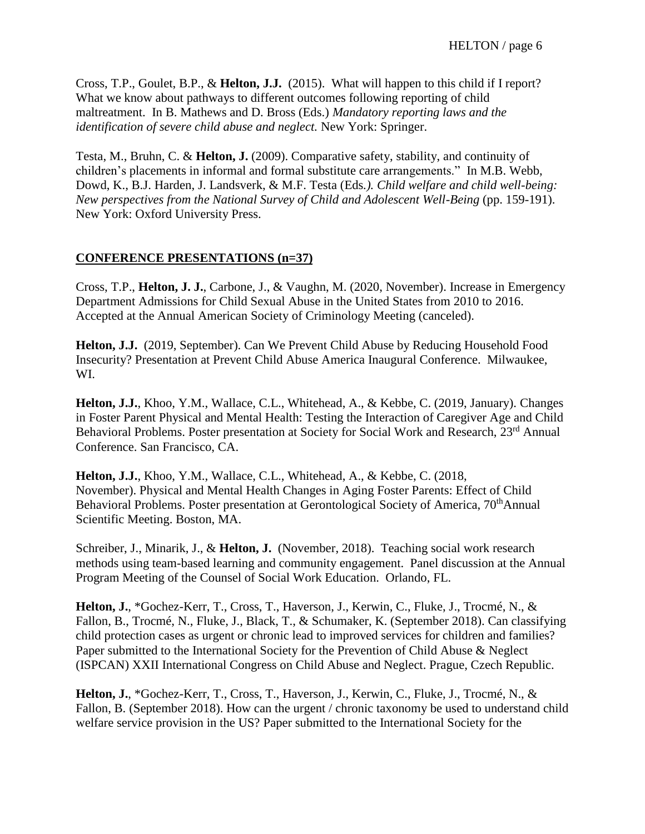Cross, T.P., Goulet, B.P., & **Helton, J.J.** (2015). What will happen to this child if I report? What we know about pathways to different outcomes following reporting of child maltreatment. In B. Mathews and D. Bross (Eds.) *Mandatory reporting laws and the identification of severe child abuse and neglect.* New York: Springer.

Testa, M., Bruhn, C. & **Helton, J.** (2009). Comparative safety, stability, and continuity of children's placements in informal and formal substitute care arrangements." In M.B. Webb, Dowd, K., B.J. Harden, J. Landsverk, & M.F. Testa (Eds*.). Child welfare and child well-being: New perspectives from the National Survey of Child and Adolescent Well-Being* (pp. 159-191). New York: Oxford University Press.

## **CONFERENCE PRESENTATIONS (n=37)**

Cross, T.P., **Helton, J. J.**, Carbone, J., & Vaughn, M. (2020, November). Increase in Emergency Department Admissions for Child Sexual Abuse in the United States from 2010 to 2016. Accepted at the Annual American Society of Criminology Meeting (canceled).

**Helton, J.J.** (2019, September). Can We Prevent Child Abuse by Reducing Household Food Insecurity? Presentation at Prevent Child Abuse America Inaugural Conference. Milwaukee, WI.

**Helton, J.J.**, Khoo, Y.M., Wallace, C.L., Whitehead, A., & Kebbe, C. (2019, January). Changes in Foster Parent Physical and Mental Health: Testing the Interaction of Caregiver Age and Child Behavioral Problems. Poster presentation at Society for Social Work and Research, 23<sup>rd</sup> Annual Conference. San Francisco, CA.

**Helton, J.J.**, Khoo, Y.M., Wallace, C.L., Whitehead, A., & Kebbe, C. (2018, November). Physical and Mental Health Changes in Aging Foster Parents: Effect of Child Behavioral Problems. Poster presentation at Gerontological Society of America, 70<sup>th</sup>Annual Scientific Meeting. Boston, MA.

Schreiber, J., Minarik, J., & **Helton, J.** (November, 2018). Teaching social work research methods using team-based learning and community engagement. Panel discussion at the Annual Program Meeting of the Counsel of Social Work Education. Orlando, FL.

**Helton, J.**, \*Gochez-Kerr, T., Cross, T., Haverson, J., Kerwin, C., Fluke, J., Trocmé, N., & Fallon, B., Trocmé, N., Fluke, J., Black, T., & Schumaker, K. (September 2018). Can classifying child protection cases as urgent or chronic lead to improved services for children and families? Paper submitted to the International Society for the Prevention of Child Abuse & Neglect (ISPCAN) XXII International Congress on Child Abuse and Neglect. Prague, Czech Republic.

**Helton, J.**, \*Gochez-Kerr, T., Cross, T., Haverson, J., Kerwin, C., Fluke, J., Trocmé, N., & Fallon, B. (September 2018). How can the urgent / chronic taxonomy be used to understand child welfare service provision in the US? Paper submitted to the International Society for the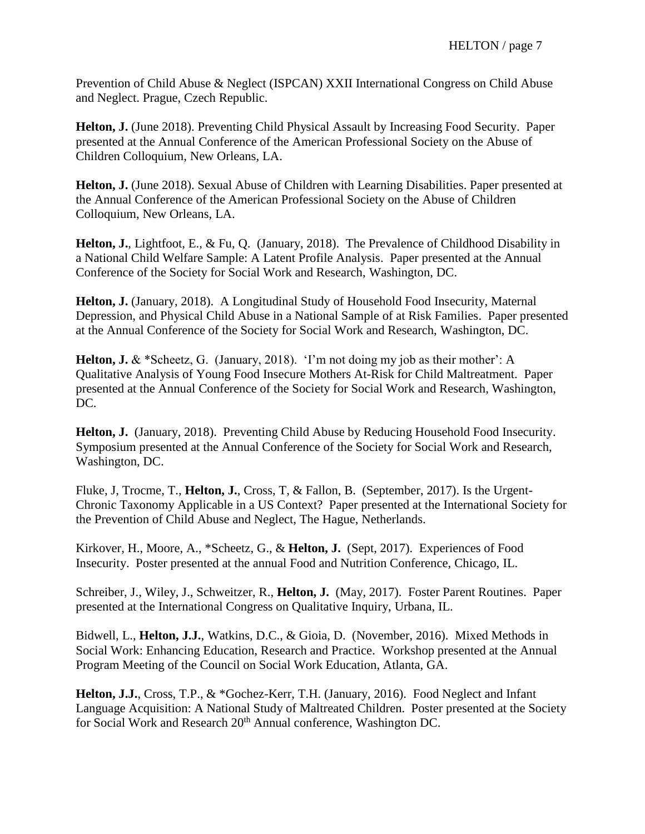Prevention of Child Abuse & Neglect (ISPCAN) XXII International Congress on Child Abuse and Neglect. Prague, Czech Republic.

**Helton, J.** (June 2018). Preventing Child Physical Assault by Increasing Food Security. Paper presented at the Annual Conference of the American Professional Society on the Abuse of Children Colloquium, New Orleans, LA.

**Helton, J.** (June 2018). Sexual Abuse of Children with Learning Disabilities. Paper presented at the Annual Conference of the American Professional Society on the Abuse of Children Colloquium, New Orleans, LA.

**Helton, J.**, Lightfoot, E., & Fu, Q. (January, 2018). The Prevalence of Childhood Disability in a National Child Welfare Sample: A Latent Profile Analysis. Paper presented at the Annual Conference of the Society for Social Work and Research, Washington, DC.

**Helton, J.** (January, 2018). A Longitudinal Study of Household Food Insecurity, Maternal Depression, and Physical Child Abuse in a National Sample of at Risk Families. Paper presented at the Annual Conference of the Society for Social Work and Research, Washington, DC.

**Helton, J.** & \*Scheetz, G. (January, 2018). 'I'm not doing my job as their mother': A Qualitative Analysis of Young Food Insecure Mothers At-Risk for Child Maltreatment. Paper presented at the Annual Conference of the Society for Social Work and Research, Washington, DC.

**Helton, J.** (January, 2018). Preventing Child Abuse by Reducing Household Food Insecurity. Symposium presented at the Annual Conference of the Society for Social Work and Research, Washington, DC.

Fluke, J, Trocme, T., **Helton, J.**, Cross, T, & Fallon, B. (September, 2017). Is the Urgent-Chronic Taxonomy Applicable in a US Context? Paper presented at the International Society for the Prevention of Child Abuse and Neglect, The Hague, Netherlands.

Kirkover, H., Moore, A., \*Scheetz, G., & **Helton, J.** (Sept, 2017). Experiences of Food Insecurity. Poster presented at the annual Food and Nutrition Conference, Chicago, IL.

Schreiber, J., Wiley, J., Schweitzer, R., **Helton, J.** (May, 2017). Foster Parent Routines. Paper presented at the International Congress on Qualitative Inquiry, Urbana, IL.

Bidwell, L., **Helton, J.J.**, Watkins, D.C., & Gioia, D. (November, 2016). Mixed Methods in Social Work: Enhancing Education, Research and Practice. Workshop presented at the Annual Program Meeting of the Council on Social Work Education, Atlanta, GA.

**Helton, J.J.**, Cross, T.P., & \*Gochez-Kerr, T.H. (January, 2016). Food Neglect and Infant Language Acquisition: A National Study of Maltreated Children. Poster presented at the Society for Social Work and Research 20<sup>th</sup> Annual conference, Washington DC.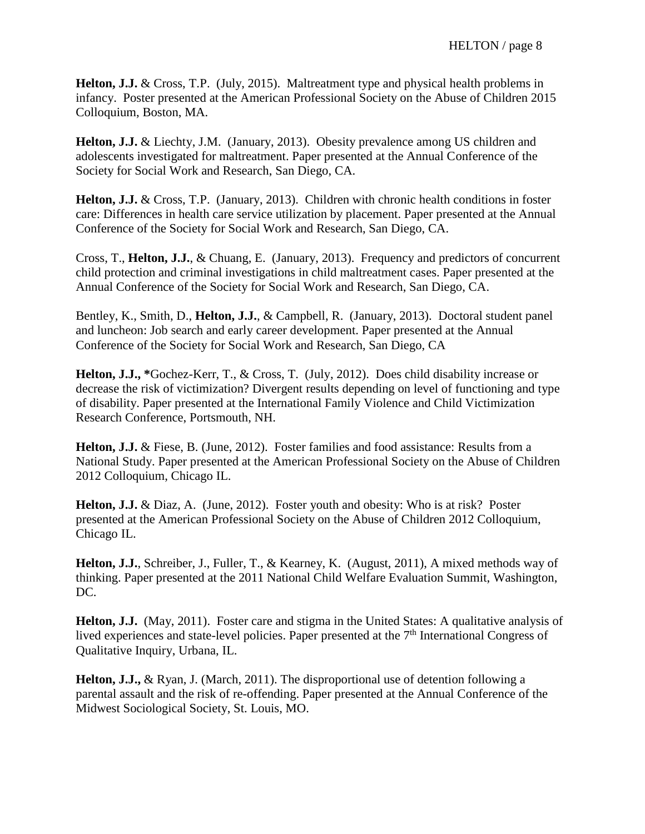**Helton, J.J.** & Cross, T.P. (July, 2015). Maltreatment type and physical health problems in infancy. Poster presented at the American Professional Society on the Abuse of Children 2015 Colloquium, Boston, MA.

**Helton, J.J.** & Liechty, J.M. (January, 2013). Obesity prevalence among US children and adolescents investigated for maltreatment. Paper presented at the Annual Conference of the Society for Social Work and Research, San Diego, CA.

**Helton, J.J.** & Cross, T.P. (January, 2013). Children with chronic health conditions in foster care: Differences in health care service utilization by placement. Paper presented at the Annual Conference of the Society for Social Work and Research, San Diego, CA.

Cross, T., **Helton, J.J.**, & Chuang, E. (January, 2013). Frequency and predictors of concurrent child protection and criminal investigations in child maltreatment cases. Paper presented at the Annual Conference of the Society for Social Work and Research, San Diego, CA.

Bentley, K., Smith, D., **Helton, J.J.**, & Campbell, R. (January, 2013). Doctoral student panel and luncheon: Job search and early career development. Paper presented at the Annual Conference of the Society for Social Work and Research, San Diego, CA

**Helton, J.J., \***Gochez-Kerr, T., & Cross, T. (July, 2012). Does child disability increase or decrease the risk of victimization? Divergent results depending on level of functioning and type of disability. Paper presented at the International Family Violence and Child Victimization Research Conference, Portsmouth, NH.

**Helton, J.J.** & Fiese, B. (June, 2012). Foster families and food assistance: Results from a National Study. Paper presented at the American Professional Society on the Abuse of Children 2012 Colloquium, Chicago IL.

**Helton, J.J.** & Diaz, A. (June, 2012). Foster youth and obesity: Who is at risk? Poster presented at the American Professional Society on the Abuse of Children 2012 Colloquium, Chicago IL.

**Helton, J.J.**, Schreiber, J., Fuller, T., & Kearney, K. (August, 2011), A mixed methods way of thinking. Paper presented at the 2011 National Child Welfare Evaluation Summit, Washington, DC.

Helton, J.J. (May, 2011). Foster care and stigma in the United States: A qualitative analysis of lived experiences and state-level policies. Paper presented at the 7<sup>th</sup> International Congress of Qualitative Inquiry, Urbana, IL.

**Helton, J.J.,** & Ryan, J. (March, 2011). The disproportional use of detention following a parental assault and the risk of re-offending. Paper presented at the Annual Conference of the Midwest Sociological Society, St. Louis, MO.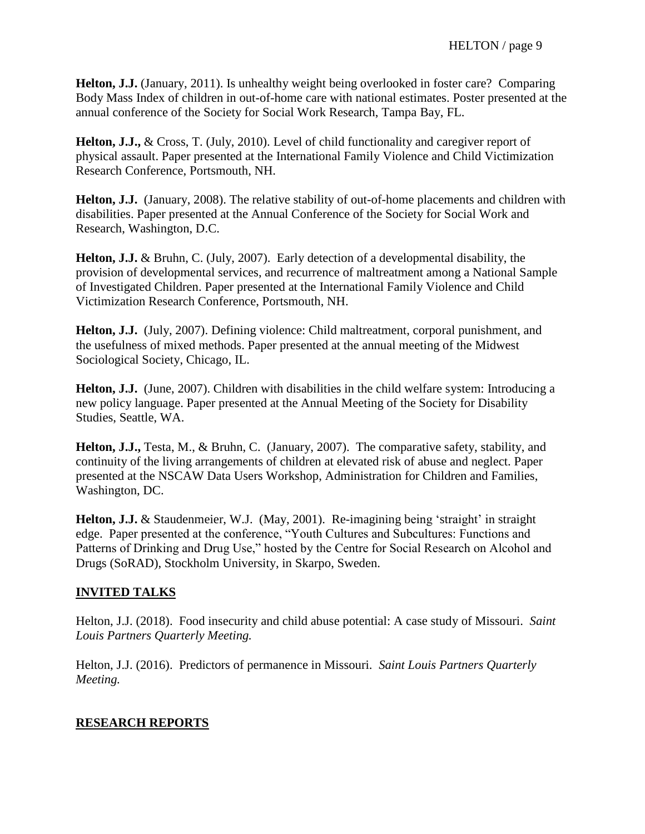**Helton, J.J.** (January, 2011). Is unhealthy weight being overlooked in foster care? Comparing Body Mass Index of children in out-of-home care with national estimates. Poster presented at the annual conference of the Society for Social Work Research, Tampa Bay, FL.

**Helton, J.J.,** & Cross, T. (July, 2010). Level of child functionality and caregiver report of physical assault. Paper presented at the International Family Violence and Child Victimization Research Conference, Portsmouth, NH.

**Helton, J.J.** (January, 2008). The relative stability of out-of-home placements and children with disabilities. Paper presented at the Annual Conference of the Society for Social Work and Research, Washington, D.C.

**Helton, J.J.** & Bruhn, C. (July, 2007). Early detection of a developmental disability, the provision of developmental services, and recurrence of maltreatment among a National Sample of Investigated Children. Paper presented at the International Family Violence and Child Victimization Research Conference, Portsmouth, NH.

**Helton, J.J.** (July, 2007). Defining violence: Child maltreatment, corporal punishment, and the usefulness of mixed methods. Paper presented at the annual meeting of the Midwest Sociological Society, Chicago, IL.

**Helton, J.J.** (June, 2007). Children with disabilities in the child welfare system: Introducing a new policy language. Paper presented at the Annual Meeting of the Society for Disability Studies, Seattle, WA.

**Helton, J.J.,** Testa, M., & Bruhn, C. (January, 2007). The comparative safety, stability, and continuity of the living arrangements of children at elevated risk of abuse and neglect. Paper presented at the NSCAW Data Users Workshop, Administration for Children and Families, Washington, DC.

**Helton, J.J.** & Staudenmeier, W.J. (May, 2001). Re-imagining being 'straight' in straight edge. Paper presented at the conference, "Youth Cultures and Subcultures: Functions and Patterns of Drinking and Drug Use," hosted by the Centre for Social Research on Alcohol and Drugs (SoRAD), Stockholm University, in Skarpo, Sweden.

## **INVITED TALKS**

Helton, J.J. (2018). Food insecurity and child abuse potential: A case study of Missouri. *Saint Louis Partners Quarterly Meeting.*

Helton, J.J. (2016). Predictors of permanence in Missouri. *Saint Louis Partners Quarterly Meeting.*

## **RESEARCH REPORTS**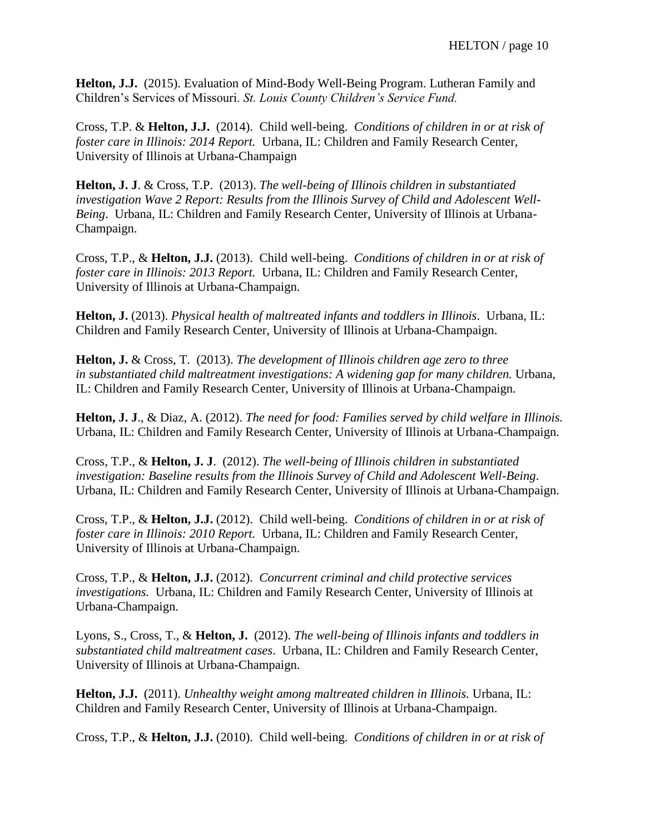**Helton, J.J.** (2015). Evaluation of Mind-Body Well-Being Program. Lutheran Family and Children's Services of Missouri. *St. Louis County Children's Service Fund.*

Cross, T.P. & **Helton, J.J.** (2014). Child well-being. *Conditions of children in or at risk of foster care in Illinois: 2014 Report.* Urbana, IL: Children and Family Research Center, University of Illinois at Urbana-Champaign

**Helton, J. J**. & Cross, T.P. (2013). *The well-being of Illinois children in substantiated investigation Wave 2 Report: Results from the Illinois Survey of Child and Adolescent Well-Being*. Urbana, IL: Children and Family Research Center, University of Illinois at Urbana-Champaign.

Cross, T.P., & **Helton, J.J.** (2013). Child well-being. *Conditions of children in or at risk of foster care in Illinois: 2013 Report.* Urbana, IL: Children and Family Research Center, University of Illinois at Urbana-Champaign.

**Helton, J.** (2013). *Physical health of maltreated infants and toddlers in Illinois*. Urbana, IL: Children and Family Research Center, University of Illinois at Urbana-Champaign.

**Helton, J.** & Cross, T. (2013). *The development of Illinois children age zero to three in substantiated child maltreatment investigations: A widening gap for many children.* Urbana, IL: Children and Family Research Center, University of Illinois at Urbana-Champaign.

**Helton, J. J**., & Diaz, A. (2012). *The need for food: Families served by child welfare in Illinois.*  Urbana, IL: Children and Family Research Center, University of Illinois at Urbana-Champaign.

Cross, T.P., & **Helton, J. J**. (2012). *The well-being of Illinois children in substantiated investigation: Baseline results from the Illinois Survey of Child and Adolescent Well-Being*. Urbana, IL: Children and Family Research Center, University of Illinois at Urbana-Champaign.

Cross, T.P., & **Helton, J.J.** (2012). Child well-being. *Conditions of children in or at risk of foster care in Illinois: 2010 Report.* Urbana, IL: Children and Family Research Center, University of Illinois at Urbana-Champaign.

Cross, T.P., & **Helton, J.J.** (2012). *Concurrent criminal and child protective services investigations.* Urbana, IL: Children and Family Research Center, University of Illinois at Urbana-Champaign.

Lyons, S., Cross, T., & **Helton, J.** (2012). *The well-being of Illinois infants and toddlers in substantiated child maltreatment cases*. Urbana, IL: Children and Family Research Center, University of Illinois at Urbana-Champaign.

**Helton, J.J.** (2011). *Unhealthy weight among maltreated children in Illinois.* Urbana, IL: Children and Family Research Center, University of Illinois at Urbana-Champaign.

Cross, T.P., & **Helton, J.J.** (2010). Child well-being. *Conditions of children in or at risk of*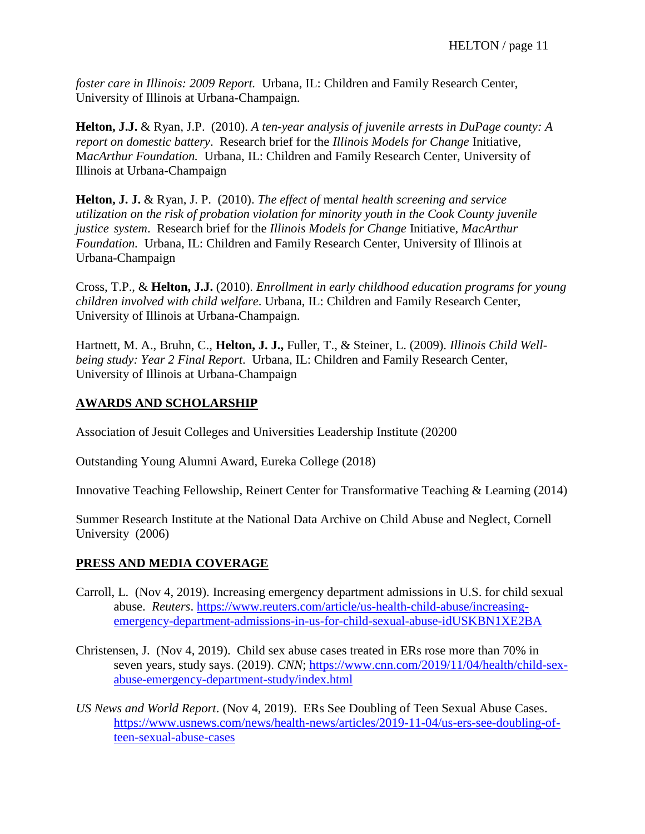*foster care in Illinois: 2009 Report.* Urbana, IL: Children and Family Research Center, University of Illinois at Urbana-Champaign.

**Helton, J.J.** & Ryan, J.P. (2010). *A ten-year analysis of juvenile arrests in DuPage county: A report on domestic battery*. Research brief for the *Illinois Models for Change* Initiative, M*acArthur Foundation.* Urbana, IL: Children and Family Research Center, University of Illinois at Urbana-Champaign

**Helton, J. J.** & Ryan, J. P. (2010). *The effect of* m*ental health screening and service utilization on the risk of probation violation for minority youth in the Cook County juvenile justice system*. Research brief for the *Illinois Models for Change* Initiative, *MacArthur Foundation.* Urbana, IL: Children and Family Research Center, University of Illinois at Urbana-Champaign

Cross, T.P., & **Helton, J.J.** (2010). *Enrollment in early childhood education programs for young children involved with child welfare*. Urbana, IL: Children and Family Research Center, University of Illinois at Urbana-Champaign.

Hartnett, M. A., Bruhn, C., **Helton, J. J.,** Fuller, T., & Steiner, L. (2009). *Illinois Child Wellbeing study: Year 2 Final Report*. Urbana, IL: Children and Family Research Center, University of Illinois at Urbana-Champaign

## **AWARDS AND SCHOLARSHIP**

Association of Jesuit Colleges and Universities Leadership Institute (20200

Outstanding Young Alumni Award, Eureka College (2018)

Innovative Teaching Fellowship, Reinert Center for Transformative Teaching & Learning (2014)

Summer Research Institute at the National Data Archive on Child Abuse and Neglect, Cornell University (2006)

## **PRESS AND MEDIA COVERAGE**

- Carroll, L. (Nov 4, 2019). Increasing emergency department admissions in U.S. for child sexual abuse. *Reuters*. [https://www.reuters.com/article/us-health-child-abuse/increasing](https://www.reuters.com/article/us-health-child-abuse/increasing-emergency-department-admissions-in-us-for-child-sexual-abuse-idUSKBN1XE2BA)[emergency-department-admissions-in-us-for-child-sexual-abuse-idUSKBN1XE2BA](https://www.reuters.com/article/us-health-child-abuse/increasing-emergency-department-admissions-in-us-for-child-sexual-abuse-idUSKBN1XE2BA)
- Christensen, J. (Nov 4, 2019). Child sex abuse cases treated in ERs rose more than 70% in seven years, study says. (2019). *CNN*; [https://www.cnn.com/2019/11/04/health/child-sex](https://www.cnn.com/2019/11/04/health/child-sex-abuse-emergency-department-study/index.html)[abuse-emergency-department-study/index.html](https://www.cnn.com/2019/11/04/health/child-sex-abuse-emergency-department-study/index.html)
- *US News and World Report*. (Nov 4, 2019). ERs See Doubling of Teen Sexual Abuse Cases. [https://www.usnews.com/news/health-news/articles/2019-11-04/us-ers-see-doubling-of](https://www.usnews.com/news/health-news/articles/2019-11-04/us-ers-see-doubling-of-teen-sexual-abuse-cases)[teen-sexual-abuse-cases](https://www.usnews.com/news/health-news/articles/2019-11-04/us-ers-see-doubling-of-teen-sexual-abuse-cases)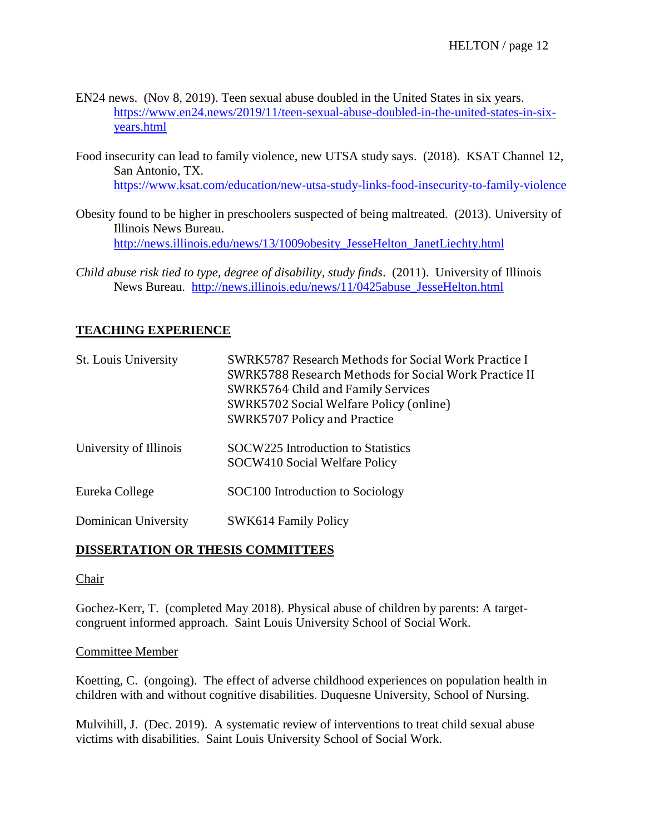- EN24 news. (Nov 8, 2019). Teen sexual abuse doubled in the United States in six years. [https://www.en24.news/2019/11/teen-sexual-abuse-doubled-in-the-united-states-in-six](https://www.en24.news/2019/11/teen-sexual-abuse-doubled-in-the-united-states-in-six-years.html)[years.html](https://www.en24.news/2019/11/teen-sexual-abuse-doubled-in-the-united-states-in-six-years.html)
- Food insecurity can lead to family violence, new UTSA study says. (2018). KSAT Channel 12, San Antonio, TX. <https://www.ksat.com/education/new-utsa-study-links-food-insecurity-to-family-violence>
- Obesity found to be higher in preschoolers suspected of being maltreated. (2013). University of Illinois News Bureau. [http://news.illinois.edu/news/13/1009obesity\\_JesseHelton\\_JanetLiechty.html](http://news.illinois.edu/news/13/1009obesity_JesseHelton_JanetLiechty.html)
- *Child abuse risk tied to type, degree of disability, study finds*. (2011). University of Illinois News Bureau. [http://news.illinois.edu/news/11/0425abuse\\_JesseHelton.html](http://news.illinois.edu/news/11/0425abuse_JesseHelton.html)

## **TEACHING EXPERIENCE**

| St. Louis University   | <b>SWRK5787 Research Methods for Social Work Practice I</b><br>SWRK5788 Research Methods for Social Work Practice II<br>SWRK5764 Child and Family Services<br>SWRK5702 Social Welfare Policy (online)<br>SWRK5707 Policy and Practice |
|------------------------|---------------------------------------------------------------------------------------------------------------------------------------------------------------------------------------------------------------------------------------|
| University of Illinois | SOCW225 Introduction to Statistics<br>SOCW410 Social Welfare Policy                                                                                                                                                                   |
| Eureka College         | SOC100 Introduction to Sociology                                                                                                                                                                                                      |
| Dominican University   | SWK614 Family Policy                                                                                                                                                                                                                  |

## **DISSERTATION OR THESIS COMMITTEES**

#### Chair

Gochez-Kerr, T. (completed May 2018). Physical abuse of children by parents: A targetcongruent informed approach. Saint Louis University School of Social Work.

#### Committee Member

Koetting, C. (ongoing). The effect of adverse childhood experiences on population health in children with and without cognitive disabilities. Duquesne University, School of Nursing.

Mulvihill, J. (Dec. 2019). A systematic review of interventions to treat child sexual abuse victims with disabilities. Saint Louis University School of Social Work.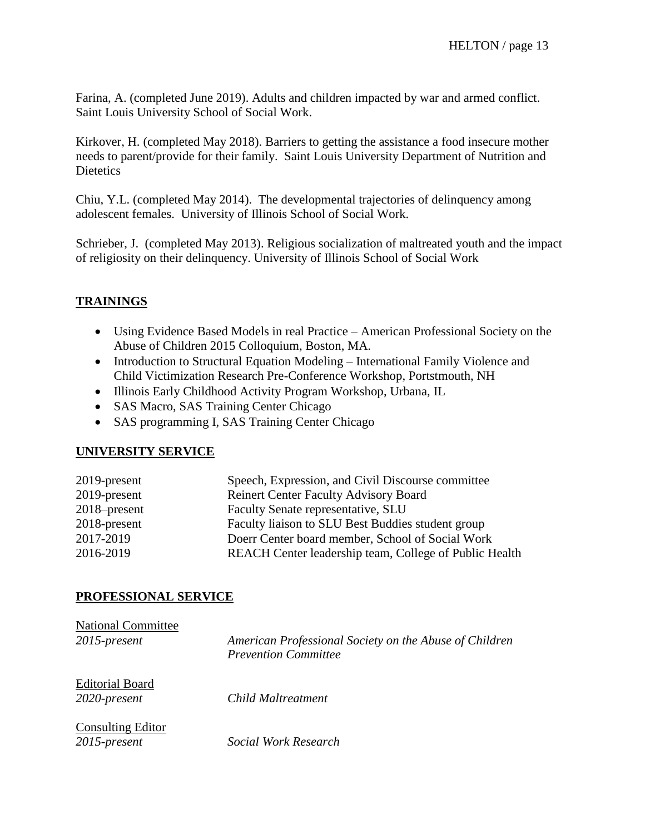Farina, A. (completed June 2019). Adults and children impacted by war and armed conflict. Saint Louis University School of Social Work.

Kirkover, H. (completed May 2018). Barriers to getting the assistance a food insecure mother needs to parent/provide for their family. Saint Louis University Department of Nutrition and **Dietetics** 

Chiu, Y.L. (completed May 2014). The developmental trajectories of delinquency among adolescent females. University of Illinois School of Social Work.

Schrieber, J. (completed May 2013). Religious socialization of maltreated youth and the impact of religiosity on their delinquency. University of Illinois School of Social Work

## **TRAININGS**

- Using Evidence Based Models in real Practice American Professional Society on the Abuse of Children 2015 Colloquium, Boston, MA.
- Introduction to Structural Equation Modeling International Family Violence and Child Victimization Research Pre-Conference Workshop, Portstmouth, NH
- Illinois Early Childhood Activity Program Workshop, Urbana, IL
- SAS Macro, SAS Training Center Chicago
- SAS programming I, SAS Training Center Chicago

## **UNIVERSITY SERVICE**

| Speech, Expression, and Civil Discourse committee      |
|--------------------------------------------------------|
| <b>Reinert Center Faculty Advisory Board</b>           |
| Faculty Senate representative, SLU                     |
| Faculty liaison to SLU Best Buddies student group      |
| Doerr Center board member, School of Social Work       |
| REACH Center leadership team, College of Public Health |
|                                                        |

## **PROFESSIONAL SERVICE**

| <b>National Committee</b>                |                                                                                       |
|------------------------------------------|---------------------------------------------------------------------------------------|
| 2015-present                             | American Professional Society on the Abuse of Children<br><b>Prevention Committee</b> |
| <b>Editorial Board</b><br>2020-present   | Child Maltreatment                                                                    |
| <b>Consulting Editor</b><br>2015-present | Social Work Research                                                                  |